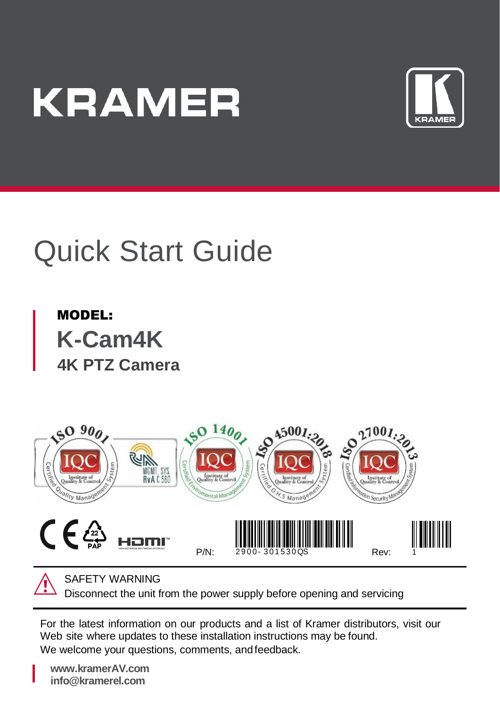# **KRAMER**



# Quick Start Guide

MODEL: **K-Cam4K 4K PTZ Camera**



SAFETY WARNING

Disconnect the unit from the power supply before opening and servicing

For the latest information on our products and a list of Kramer distributors, visit our Web site where updates to these installation instructions may be found. We welcome your questions, comments, and feedback.

**[www.kramerAV.com](http://www.kramerav.com/) info@kramerel.com**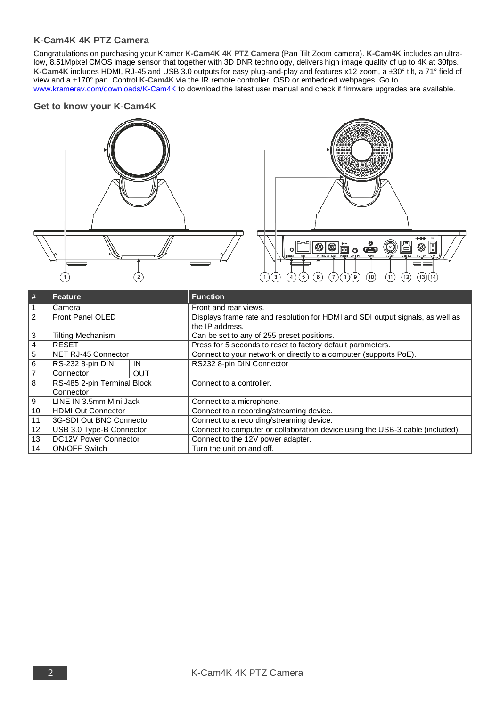## **K-Cam4K 4K PTZ Camera**

Congratulations on purchasing your Kramer **K-Cam4K 4K PTZ Camera** (Pan Tilt Zoom camera). **K-Cam4K** includes an ultralow, 8.51Mpixel CMOS image sensor that together with 3D DNR technology, delivers high image quality of up to 4K at 30fps. **K-Cam4K** includes HDMI, RJ-45 and USB 3.0 outputs for easy plug-and-play and features x12 zoom, a ±30° tilt, a 71° field of view and a ±170° pan. Control **K-Cam4K** via the IR remote controller, OSD or embedded webpages. Go to [www.kramerav.com/downloads/K-Cam4K](http://www.kramerav.com/downloads/K-Cam4K) to download the latest user manual and check if firmware upgrades are available.

#### **Get to know your K-Cam4K**





| #              | <b>Feature</b>                           |     | <b>Function</b>                                                                                   |  |  |  |
|----------------|------------------------------------------|-----|---------------------------------------------------------------------------------------------------|--|--|--|
| $\mathbf{1}$   | Camera                                   |     | Front and rear views.                                                                             |  |  |  |
| $\overline{2}$ | Front Panel OLED                         |     | Displays frame rate and resolution for HDMI and SDI output signals, as well as<br>the IP address. |  |  |  |
| 3              | <b>Tilting Mechanism</b>                 |     | Can be set to any of 255 preset positions.                                                        |  |  |  |
| 4              | <b>RESET</b>                             |     | Press for 5 seconds to reset to factory default parameters.                                       |  |  |  |
| $\overline{5}$ | NET RJ-45 Connector                      |     | Connect to your network or directly to a computer (supports PoE).                                 |  |  |  |
| 6              | RS-232 8-pin DIN                         | IN  | RS232 8-pin DIN Connector                                                                         |  |  |  |
| $\overline{7}$ | Connector                                | OUT |                                                                                                   |  |  |  |
| $\overline{8}$ | RS-485 2-pin Terminal Block<br>Connector |     | Connect to a controller.                                                                          |  |  |  |
| $\overline{9}$ | LINE IN 3.5mm Mini Jack                  |     | Connect to a microphone.                                                                          |  |  |  |
| 10             | <b>HDMI Out Connector</b>                |     | Connect to a recording/streaming device.                                                          |  |  |  |
| 11             | 3G-SDI Out BNC Connector                 |     | Connect to a recording/streaming device.                                                          |  |  |  |
| 12             | USB 3.0 Type-B Connector                 |     | Connect to computer or collaboration device using the USB-3 cable (included).                     |  |  |  |
| 13             | DC12V Power Connector                    |     | Connect to the 12V power adapter.                                                                 |  |  |  |
| 14             | <b>ON/OFF Switch</b>                     |     | Turn the unit on and off.                                                                         |  |  |  |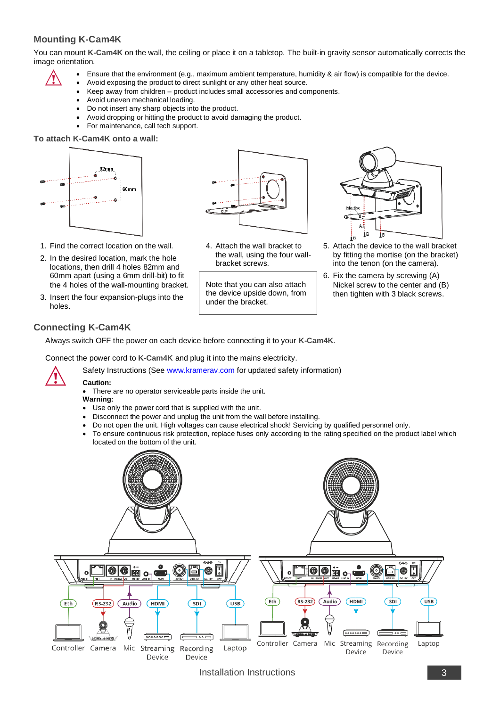# **Mounting K-Cam4K**

You can mount **K-Cam4K** on the wall, the ceiling or place it on a tabletop. The built-in gravity sensor automatically corrects the image orientation.

- 
- Ensure that the environment (e.g., maximum ambient temperature, humidity & air flow) is compatible for the device.
- Avoid exposing the product to direct sunlight or any other heat source.
- Keep away from children product includes small accessories and components.
- Avoid uneven mechanical loading.
- Do not insert any sharp objects into the product.
- Avoid dropping or hitting the product to avoid damaging the product.
- For maintenance, call tech support.

#### **To attach K-Cam4K onto a wall:**



1. Find the correct location on the wall. 2. In the desired location, mark the hole locations, then drill 4 holes 82mm and 60mm apart (using a 6mm drill-bit) to fit the 4 holes of the wall-mounting bracket. 3. Insert the four expansion-plugs into the



4. Attach the wall bracket to the wall, using the four wallbracket screws.

Note that you can also attach the device upside down, from under the bracket.



- 5. Attach the device to the wall bracket by fitting the mortise (on the bracket) into the tenon (on the camera).
- 6. Fix the camera by screwing (A) Nickel screw to the center and (B) then tighten with 3 black screws.

## **Connecting K-Cam4K**

Always switch OFF the power on each device before connecting it to your **K-Cam4K**.

Connect the power cord to **K-Cam4K** and plug it into the mains electricity.



holes.

#### **Caution:**

There are no operator serviceable parts inside the unit. **Warning:**

- Use only the power cord that is supplied with the unit.
- Disconnect the power and unplug the unit from the wall before installing.

Safety Instructions (Se[e www.kramerav.com](http://www.kramerav.com/) for updated safety information)

- Do not open the unit. High voltages can cause electrical shock! Servicing by qualified personnel only.
- To ensure continuous risk protection, replace fuses only according to the rating specified on the product label which located on the bottom of the unit.